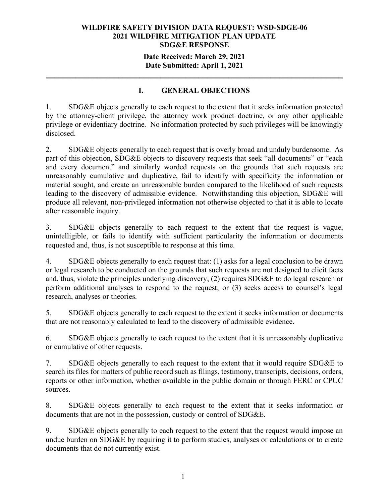## **Date Received: March 29, 2021 Date Submitted: April 1, 2021**

**\_\_\_\_\_\_\_\_\_\_\_\_\_\_\_\_\_\_\_\_\_\_\_\_\_\_\_\_\_\_\_\_\_\_\_\_\_\_\_\_\_\_\_\_\_\_\_\_\_\_\_\_\_\_\_\_\_\_\_\_\_\_\_\_\_\_\_\_\_\_**

# **I. GENERAL OBJECTIONS**

1. SDG&E objects generally to each request to the extent that it seeks information protected by the attorney-client privilege, the attorney work product doctrine, or any other applicable privilege or evidentiary doctrine. No information protected by such privileges will be knowingly disclosed.

2. SDG&E objects generally to each request that is overly broad and unduly burdensome. As part of this objection, SDG&E objects to discovery requests that seek "all documents" or "each and every document" and similarly worded requests on the grounds that such requests are unreasonably cumulative and duplicative, fail to identify with specificity the information or material sought, and create an unreasonable burden compared to the likelihood of such requests leading to the discovery of admissible evidence. Notwithstanding this objection, SDG&E will produce all relevant, non-privileged information not otherwise objected to that it is able to locate after reasonable inquiry.

3. SDG&E objects generally to each request to the extent that the request is vague, unintelligible, or fails to identify with sufficient particularity the information or documents requested and, thus, is not susceptible to response at this time.

4. SDG&E objects generally to each request that: (1) asks for a legal conclusion to be drawn or legal research to be conducted on the grounds that such requests are not designed to elicit facts and, thus, violate the principles underlying discovery; (2) requires SDG&E to do legal research or perform additional analyses to respond to the request; or (3) seeks access to counsel's legal research, analyses or theories.

5. SDG&E objects generally to each request to the extent it seeks information or documents that are not reasonably calculated to lead to the discovery of admissible evidence.

6. SDG&E objects generally to each request to the extent that it is unreasonably duplicative or cumulative of other requests.

7. SDG&E objects generally to each request to the extent that it would require SDG&E to search its files for matters of public record such as filings, testimony, transcripts, decisions, orders, reports or other information, whether available in the public domain or through FERC or CPUC sources.

8. SDG&E objects generally to each request to the extent that it seeks information or documents that are not in the possession, custody or control of SDG&E.

9. SDG&E objects generally to each request to the extent that the request would impose an undue burden on SDG&E by requiring it to perform studies, analyses or calculations or to create documents that do not currently exist.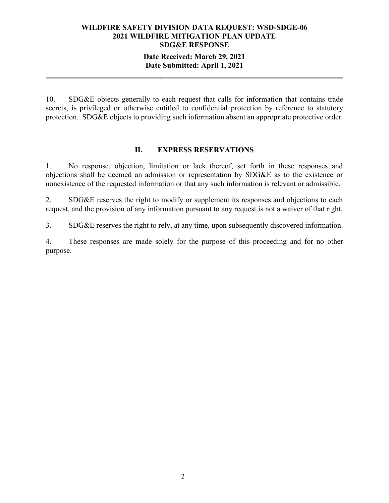### **Date Received: March 29, 2021 Date Submitted: April 1, 2021**

**\_\_\_\_\_\_\_\_\_\_\_\_\_\_\_\_\_\_\_\_\_\_\_\_\_\_\_\_\_\_\_\_\_\_\_\_\_\_\_\_\_\_\_\_\_\_\_\_\_\_\_\_\_\_\_\_\_\_\_\_\_\_\_\_\_\_\_\_\_\_**

10. SDG&E objects generally to each request that calls for information that contains trade secrets, is privileged or otherwise entitled to confidential protection by reference to statutory protection. SDG&E objects to providing such information absent an appropriate protective order.

### **II. EXPRESS RESERVATIONS**

1. No response, objection, limitation or lack thereof, set forth in these responses and objections shall be deemed an admission or representation by SDG&E as to the existence or nonexistence of the requested information or that any such information is relevant or admissible.

2. SDG&E reserves the right to modify or supplement its responses and objections to each request, and the provision of any information pursuant to any request is not a waiver of that right.

3. SDG&E reserves the right to rely, at any time, upon subsequently discovered information.

4. These responses are made solely for the purpose of this proceeding and for no other purpose.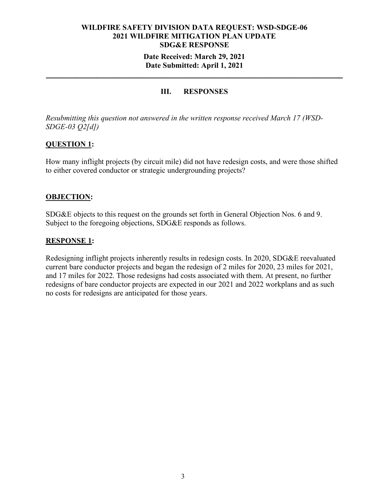### **Date Received: March 29, 2021 Date Submitted: April 1, 2021**

**\_\_\_\_\_\_\_\_\_\_\_\_\_\_\_\_\_\_\_\_\_\_\_\_\_\_\_\_\_\_\_\_\_\_\_\_\_\_\_\_\_\_\_\_\_\_\_\_\_\_\_\_\_\_\_\_\_\_\_\_\_\_\_\_\_\_\_\_\_\_**

# **III. RESPONSES**

*Resubmitting this question not answered in the written response received March 17 (WSD-SDGE-03 Q2[d])*

### **QUESTION 1:**

How many inflight projects (by circuit mile) did not have redesign costs, and were those shifted to either covered conductor or strategic undergrounding projects?

### **OBJECTION:**

SDG&E objects to this request on the grounds set forth in General Objection Nos. 6 and 9. Subject to the foregoing objections, SDG&E responds as follows.

### **RESPONSE 1:**

Redesigning inflight projects inherently results in redesign costs. In 2020, SDG&E reevaluated current bare conductor projects and began the redesign of 2 miles for 2020, 23 miles for 2021, and 17 miles for 2022. Those redesigns had costs associated with them. At present, no further redesigns of bare conductor projects are expected in our 2021 and 2022 workplans and as such no costs for redesigns are anticipated for those years.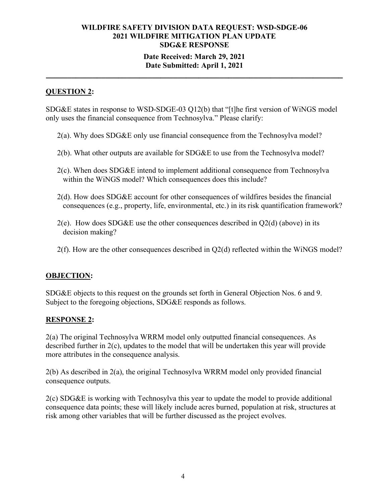### **Date Received: March 29, 2021 Date Submitted: April 1, 2021**

**\_\_\_\_\_\_\_\_\_\_\_\_\_\_\_\_\_\_\_\_\_\_\_\_\_\_\_\_\_\_\_\_\_\_\_\_\_\_\_\_\_\_\_\_\_\_\_\_\_\_\_\_\_\_\_\_\_\_\_\_\_\_\_\_\_\_\_\_\_\_**

# **QUESTION 2:**

SDG&E states in response to WSD-SDGE-03 Q12(b) that "[t]he first version of WiNGS model only uses the financial consequence from Technosylva." Please clarify:

- 2(a). Why does SDG&E only use financial consequence from the Technosylva model?
- 2(b). What other outputs are available for SDG&E to use from the Technosylva model?
- 2(c). When does SDG&E intend to implement additional consequence from Technosylva within the WiNGS model? Which consequences does this include?
- 2(d). How does SDG&E account for other consequences of wildfires besides the financial consequences (e.g., property, life, environmental, etc.) in its risk quantification framework?
- $2(e)$ . How does SDG&E use the other consequences described in  $Q2(d)$  (above) in its decision making?
- 2(f). How are the other consequences described in Q2(d) reflected within the WiNGS model?

# **OBJECTION:**

SDG&E objects to this request on the grounds set forth in General Objection Nos. 6 and 9. Subject to the foregoing objections, SDG&E responds as follows.

# **RESPONSE 2:**

2(a) The original Technosylva WRRM model only outputted financial consequences. As described further in 2(c), updates to the model that will be undertaken this year will provide more attributes in the consequence analysis.

2(b) As described in 2(a), the original Technosylva WRRM model only provided financial consequence outputs.

2(c) SDG&E is working with Technosylva this year to update the model to provide additional consequence data points; these will likely include acres burned, population at risk, structures at risk among other variables that will be further discussed as the project evolves.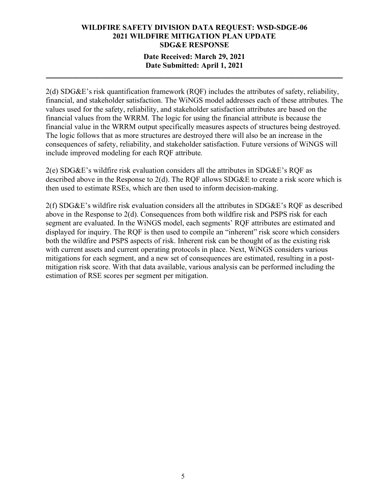# **Date Received: March 29, 2021 Date Submitted: April 1, 2021**

**\_\_\_\_\_\_\_\_\_\_\_\_\_\_\_\_\_\_\_\_\_\_\_\_\_\_\_\_\_\_\_\_\_\_\_\_\_\_\_\_\_\_\_\_\_\_\_\_\_\_\_\_\_\_\_\_\_\_\_\_\_\_\_\_\_\_\_\_\_\_**

2(d) SDG&E's risk quantification framework (RQF) includes the attributes of safety, reliability, financial, and stakeholder satisfaction. The WiNGS model addresses each of these attributes. The values used for the safety, reliability, and stakeholder satisfaction attributes are based on the financial values from the WRRM. The logic for using the financial attribute is because the financial value in the WRRM output specifically measures aspects of structures being destroyed. The logic follows that as more structures are destroyed there will also be an increase in the consequences of safety, reliability, and stakeholder satisfaction. Future versions of WiNGS will include improved modeling for each RQF attribute.

2(e) SDG&E's wildfire risk evaluation considers all the attributes in SDG&E's RQF as described above in the Response to  $2(d)$ . The ROF allows SDG&E to create a risk score which is then used to estimate RSEs, which are then used to inform decision-making.

2(f) SDG&E's wildfire risk evaluation considers all the attributes in SDG&E's RQF as described above in the Response to 2(d). Consequences from both wildfire risk and PSPS risk for each segment are evaluated. In the WiNGS model, each segments' RQF attributes are estimated and displayed for inquiry. The RQF is then used to compile an "inherent" risk score which considers both the wildfire and PSPS aspects of risk. Inherent risk can be thought of as the existing risk with current assets and current operating protocols in place. Next, WiNGS considers various mitigations for each segment, and a new set of consequences are estimated, resulting in a postmitigation risk score. With that data available, various analysis can be performed including the estimation of RSE scores per segment per mitigation.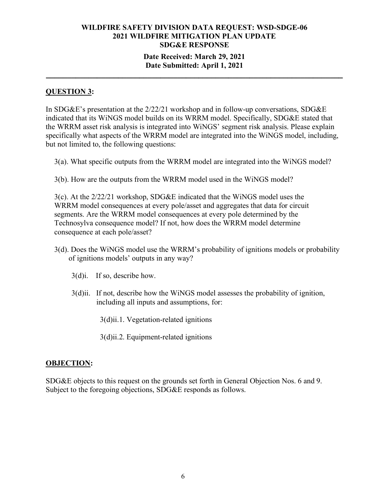### **Date Received: March 29, 2021 Date Submitted: April 1, 2021**

**\_\_\_\_\_\_\_\_\_\_\_\_\_\_\_\_\_\_\_\_\_\_\_\_\_\_\_\_\_\_\_\_\_\_\_\_\_\_\_\_\_\_\_\_\_\_\_\_\_\_\_\_\_\_\_\_\_\_\_\_\_\_\_\_\_\_\_\_\_\_**

### **QUESTION 3:**

In SDG&E's presentation at the 2/22/21 workshop and in follow-up conversations, SDG&E indicated that its WiNGS model builds on its WRRM model. Specifically, SDG&E stated that the WRRM asset risk analysis is integrated into WiNGS' segment risk analysis. Please explain specifically what aspects of the WRRM model are integrated into the WiNGS model, including, but not limited to, the following questions:

3(a). What specific outputs from the WRRM model are integrated into the WiNGS model?

3(b). How are the outputs from the WRRM model used in the WiNGS model?

3(c). At the 2/22/21 workshop, SDG&E indicated that the WiNGS model uses the WRRM model consequences at every pole/asset and aggregates that data for circuit segments. Are the WRRM model consequences at every pole determined by the Technosylva consequence model? If not, how does the WRRM model determine consequence at each pole/asset?

- 3(d). Does the WiNGS model use the WRRM's probability of ignitions models or probability of ignitions models' outputs in any way?
	- 3(d)i. If so, describe how.
	- 3(d)ii. If not, describe how the WiNGS model assesses the probability of ignition, including all inputs and assumptions, for:

3(d)ii.1. Vegetation-related ignitions

3(d)ii.2. Equipment-related ignitions

### **OBJECTION:**

SDG&E objects to this request on the grounds set forth in General Objection Nos. 6 and 9. Subject to the foregoing objections, SDG&E responds as follows.